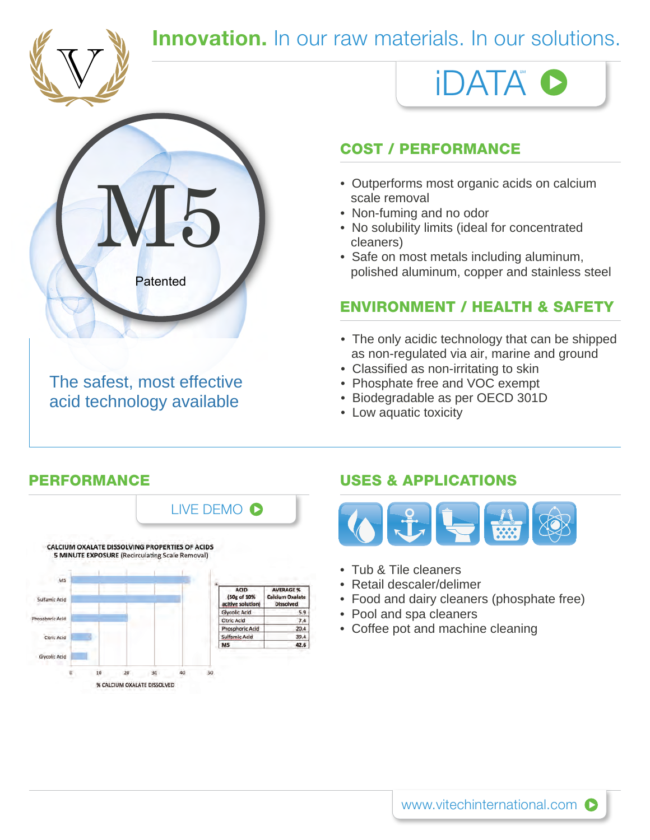

### **Innovation.** In our raw materials. In our solutions.



The safest, most effective acid technology available

### COST / PERFORMANCE

scale removal

iDATA

- Non-fuming and no odor
- No solubility limits (ideal for concentrated cleaners)
- Safe on most metals including aluminum, polished aluminum, copper and stainless steel

### ENVIRONMENT / HEALTH & SAFETY

- The only acidic technology that can be shipped as non-regulated via air, marine and ground
- Classified as non-irritating to skin
- Phosphate free and VOC exempt
- Biodegradable as per OECD 301D
- Low aquatic toxicity

## LIVE DEMO<sup>O</sup>



### PERFORMANCE USES & APPLICATIONS



- Tub & Tile cleaners
- Retail descaler/delimer
- Food and dairy cleaners (phosphate free)
- Pool and spa cleaners
- Coffee pot and machine cleaning